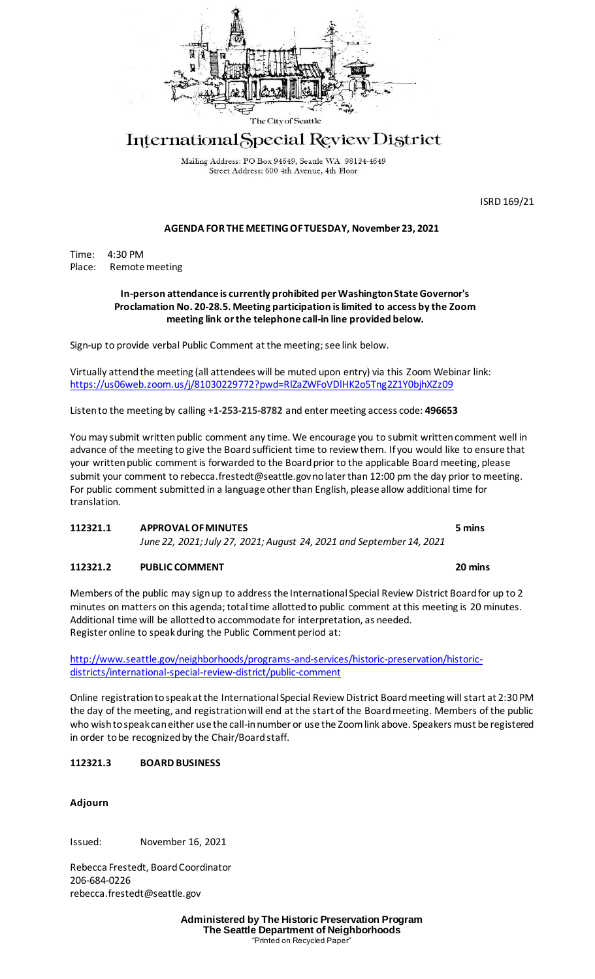

# International Special Review District

Mailing Address: PO Box 94649, Seattle WA 98124-4649 Street Address: 600 4th Avenue, 4th Floor

ISRD 169/21

# **AGENDA FOR THE MEETING OF TUESDAY, November 23, 2021**

Time: 4:30 PM Place: Remote meeting

### **In-person attendance is currently prohibited per Washington State Governor's Proclamation No. 20-28.5. Meeting participation is limited to access by the Zoom meeting link or the telephone call-in line provided below.**

Sign-up to provide verbal Public Comment at the meeting; see link below.

Virtually attend the meeting (all attendees will be muted upon entry) via this Zoom Webinar link: https://us06web.zoom.us/j/81030229772?pwd=RlZaZWFoVDlHK2o5Tng2Z1Y0bjhXZz09

Listen to the meeting by calling **+1-253-215-8782** and enter meeting access code: **496653**

You may submit written public comment any time. We encourage you to submit written comment well in advance of the meeting to give the Board sufficient time to review them. If you would like to ensure that your written public comment is forwarded to the Board prior to the applicable Board meeting, please submit your comment to rebecca.frestedt@seattle.gov no later than 12:00 pm the day prior to meeting. For public comment submitted in a language other than English, please allow additional time for translation.

# **112321.1 APPROVAL OF MINUTES 5 mins**

*June 22, 2021; July 27, 2021; August 24, 2021 and September 14, 2021*

### **112321.2 PUBLIC COMMENT 20 mins**

Members of the public may sign up to address the International Special Review District Board for up to 2 minutes on matters on this agenda; total time allotted to public comment at this meeting is 20 minutes. Additional time will be allotted to accommodate for interpretation, as needed. Register online to speak during the Public Comment period at:

[http://www.seattle.gov/neighborhoods/programs-and-services/historic-preservation/historic](http://www.seattle.gov/neighborhoods/programs-and-services/historic-preservation/historic-districts/international-special-review-district/public-comment)[districts/international-special-review-district/public-comment](http://www.seattle.gov/neighborhoods/programs-and-services/historic-preservation/historic-districts/international-special-review-district/public-comment)

Online registration to speak at the International Special Review District Board meeting will start at 2:30 PM the day of the meeting, and registration will end at the start of the Board meeting. Members of the public who wish to speak can either use the call-in number or use the Zoom link above. Speakers must be registered in order to be recognized by the Chair/Board staff.

## **112321.3 BOARD BUSINESS**

### **Adjourn**

Issued: November 16, 2021

Rebecca Frestedt, Board Coordinator 206-684-0226 rebecca.frestedt@seattle.gov

> **Administered by The Historic Preservation Program The Seattle Department of Neighborhoods** "Printed on Recycled Paper"